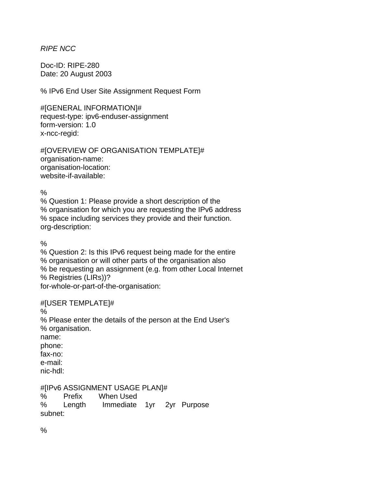## *RIPE NCC*

Doc-ID: RIPE-280 Date: 20 August 2003

% IPv6 End User Site Assignment Request Form

#[GENERAL INFORMATION]# request-type: ipv6-enduser-assignment form-version: 1.0 x-ncc-regid:

#[OVERVIEW OF ORGANISATION TEMPLATE]# organisation-name: organisation-location: website-if-available:

 $\frac{0}{0}$ 

% Question 1: Please provide a short description of the % organisation for which you are requesting the IPv6 address % space including services they provide and their function. org-description:

%

% Question 2: Is this IPv6 request being made for the entire % organisation or will other parts of the organisation also % be requesting an assignment (e.g. from other Local Internet % Registries (LIRs))? for-whole-or-part-of-the-organisation:

## #[USER TEMPLATE]#

%

% Please enter the details of the person at the End User's % organisation. name: phone: fax-no: e-mail: nic-hdl:

#[IPv6 ASSIGNMENT USAGE PLAN]#

% Prefix When Used % Length Immediate 1yr 2yr Purpose subnet:

 $\frac{0}{0}$